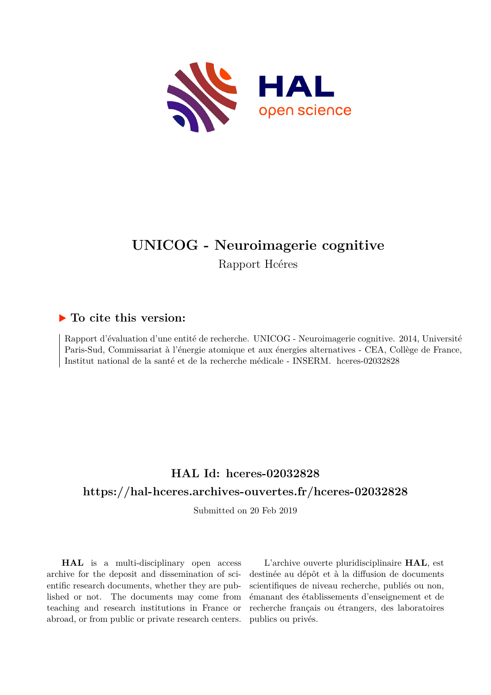

## **UNICOG - Neuroimagerie cognitive** Rapport Hcéres

### **To cite this version:**

Rapport d'évaluation d'une entité de recherche. UNICOG - Neuroimagerie cognitive. 2014, Université Paris-Sud, Commissariat à l'énergie atomique et aux énergies alternatives - CEA, Collège de France, Institut national de la santé et de la recherche médicale - INSERM. hceres-02032828

## **HAL Id: hceres-02032828 <https://hal-hceres.archives-ouvertes.fr/hceres-02032828>**

Submitted on 20 Feb 2019

**HAL** is a multi-disciplinary open access archive for the deposit and dissemination of scientific research documents, whether they are published or not. The documents may come from teaching and research institutions in France or abroad, or from public or private research centers.

L'archive ouverte pluridisciplinaire **HAL**, est destinée au dépôt et à la diffusion de documents scientifiques de niveau recherche, publiés ou non, émanant des établissements d'enseignement et de recherche français ou étrangers, des laboratoires publics ou privés.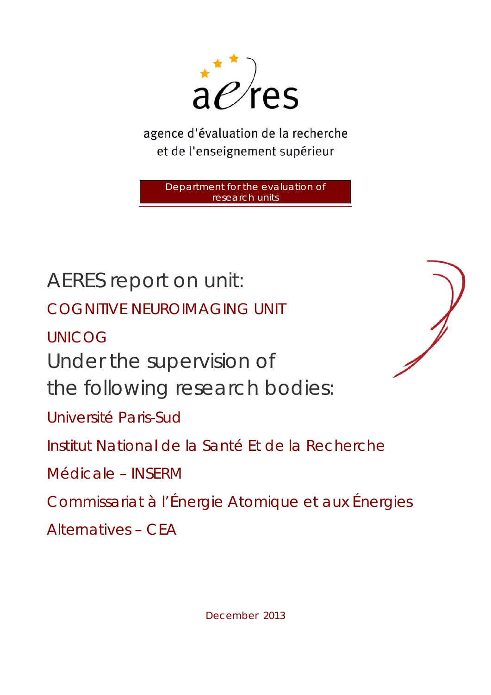

agence d'évaluation de la recherche et de l'enseignement supérieur

> Department for the evaluation of research units

AERES report on unit: COGNITIVE NEUROIMAGING UNIT UNICOG Under the supervision of the following research bodies: Université Paris-Sud Institut National de la Santé Et de la Recherche Médicale – INSERM Commissariat à l'Énergie Atomique et aux Énergies Alternatives – CEA



December 2013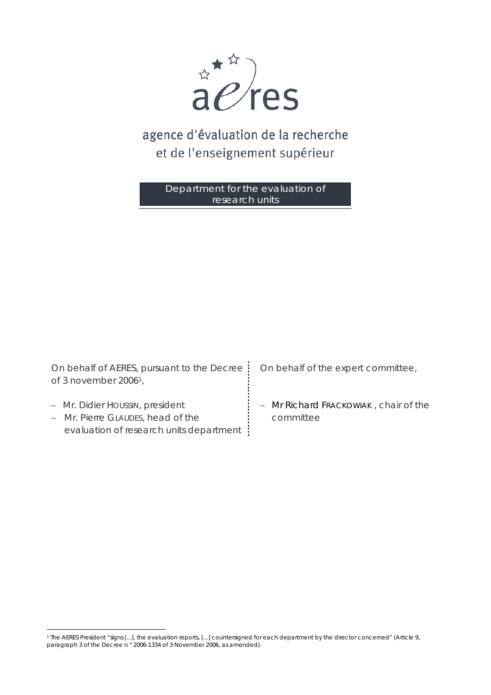

# agence d'évaluation de la recherche et de l'enseignement supérieur

Department for the evaluation of research units

*On behalf of AERES, pursuant to the Decree On behalf of the expert committee, of 3 november 20061,* 

− Mr. Didier HOUSSIN, president

 $\overline{a}$ 

− Mr. Pierre GLAUDES, head of the evaluation of research units department

− Mr Richard FRACKOWIAK , chair of the committee

<sup>1</sup> The AERES President "signs [...], the evaluation reports, [...] countersigned for each department by the director concerned" (Article 9, paragraph 3 of the Decree n ° 2006-1334 of 3 November 2006, as amended).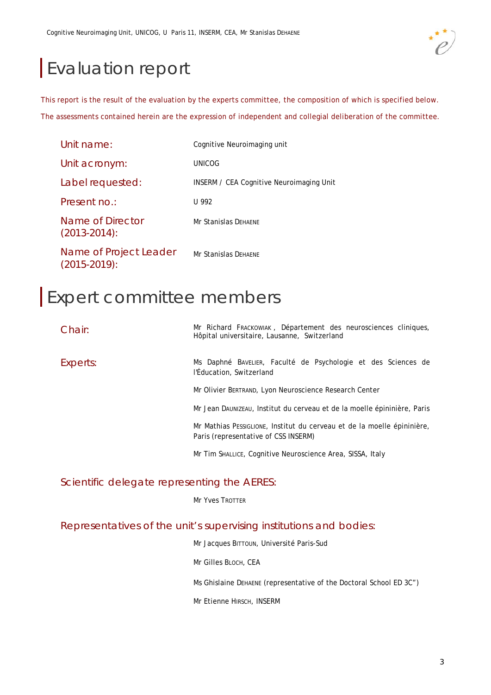# Evaluation report

This report is the result of the evaluation by the experts committee, the composition of which is specified below. The assessments contained herein are the expression of independent and collegial deliberation of the committee.

| Unit name:                                  | Cognitive Neuroimaging unit                     |
|---------------------------------------------|-------------------------------------------------|
| Unit acronym:                               | UNICOG                                          |
| Label requested:                            | <b>INSERM / CEA Cognitive Neuroimaging Unit</b> |
| Present no.:                                | U 992                                           |
| Name of Director<br>$(2013 - 2014)$ :       | <b>Mr Stanislas DEHAENE</b>                     |
| Name of Project Leader<br>$(2015 - 2019)$ : | <b>Mr Stanislas DEHAENE</b>                     |

# Expert committee members

| Chain:   | Mr Richard Frackowlak, Département des neurosciences cliniques,<br>Hôpital universitaire, Lausanne, Switzerland |
|----------|-----------------------------------------------------------------------------------------------------------------|
| Experts: | Ms Daphné BAVELIER, Faculté de Psychologie et des Sciences de<br>l'Éducation, Switzerland                       |
|          | Mr Olivier BERTRAND, Lyon Neuroscience Research Center                                                          |
|          | Mr Jean DAUNIZEAU, Institut du cerveau et de la moelle épininière, Paris                                        |
|          | Mr Mathias Pessiglione, Institut du cerveau et de la moelle épininière,<br>Paris (representative of CSS INSERM) |
|          | Mr Tim SHALLICE, Cognitive Neuroscience Area, SISSA, Italy                                                      |

### Scientific delegate representing the AERES:

Mr Yves TROTTER

### Representatives of the unit's supervising institutions and bodies:

|  | Mr Jacques BITTOUN, Université Paris-Sud |  |
|--|------------------------------------------|--|
|  |                                          |  |

Mr Gilles BLOCH, CEA

Ms Ghislaine DEHAENE (representative of the Doctoral School ED 3C")

Mr Etienne HIRSCH, INSERM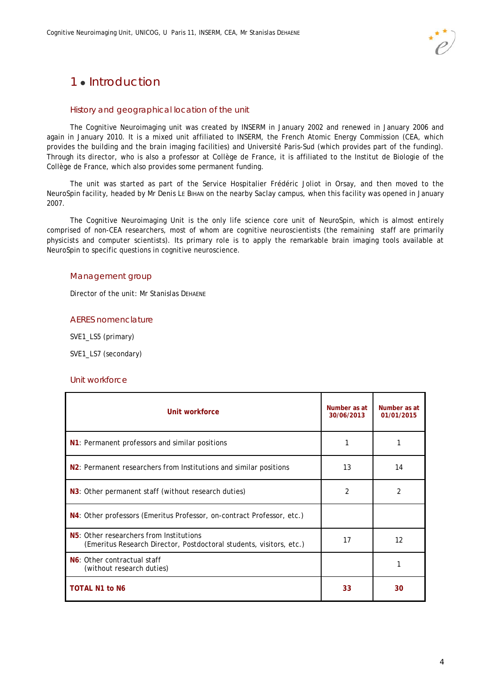### 1 **Introduction**

### History and geographical location of the unit

The Cognitive Neuroimaging unit was created by INSERM in January 2002 and renewed in January 2006 and again in January 2010. It is a mixed unit affiliated to INSERM, the French Atomic Energy Commission (CEA, which provides the building and the brain imaging facilities) and Université Paris-Sud (which provides part of the funding). Through its director, who is also a professor at Collège de France, it is affiliated to the Institut de Biologie of the Collège de France, which also provides some permanent funding.

The unit was started as part of the Service Hospitalier Frédéric Joliot in Orsay, and then moved to the NeuroSpin facility, headed by Mr Denis LE BIHAN on the nearby Saclay campus, when this facility was opened in January 2007.

The Cognitive Neuroimaging Unit is the only life science core unit of NeuroSpin, which is almost entirely comprised of non-CEA researchers, most of whom are cognitive neuroscientists (the remaining staff are primarily physicists and computer scientists). Its primary role is to apply the remarkable brain imaging tools available at NeuroSpin to specific questions in cognitive neuroscience.

### Management group

Director of the unit: Mr Stanislas DEHAENE

#### AERES nomenclature

SVE1\_LS5 (primary)

SVE1\_LS7 (secondary)

#### Unit workforce

| Unit workforce                                                                                                              | Number as at<br>30/06/2013 | Number as at<br>01/01/2015 |
|-----------------------------------------------------------------------------------------------------------------------------|----------------------------|----------------------------|
| N1: Permanent professors and similar positions                                                                              |                            |                            |
| N <sub>2</sub> : Permanent researchers from Institutions and similar positions                                              | 13                         | 14                         |
| N3: Other permanent staff (without research duties)                                                                         | 2                          | 2                          |
| N4: Other professors (Emeritus Professor, on-contract Professor, etc.)                                                      |                            |                            |
| N <sub>5</sub> : Other researchers from Institutions<br>(Emeritus Research Director, Postdoctoral students, visitors, etc.) | 17                         | 12                         |
| N6: Other contractual staff<br>(without research duties)                                                                    |                            |                            |
| <b>TOTAL N1 to N6</b>                                                                                                       | 33                         | 30                         |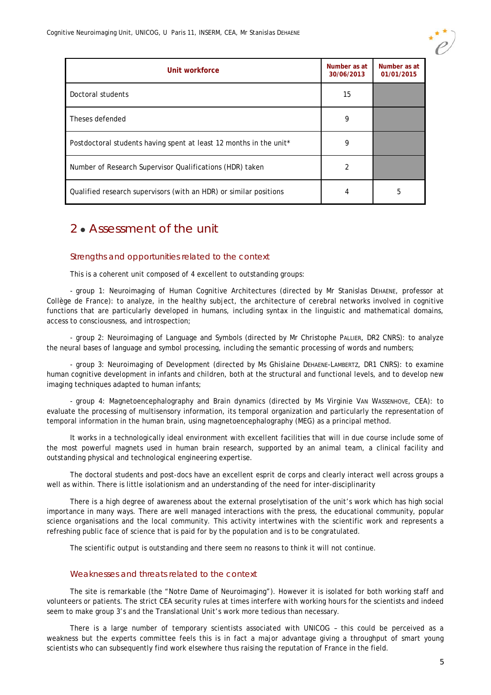

| Unit workforce                                                     | Number as at<br>30/06/2013 | Number as at<br>01/01/2015 |
|--------------------------------------------------------------------|----------------------------|----------------------------|
| Doctoral students                                                  | 15                         |                            |
| Theses defended                                                    | 9                          |                            |
| Postdoctoral students having spent at least 12 months in the unit* | 9                          |                            |
| Number of Research Supervisor Qualifications (HDR) taken           | $\overline{2}$             |                            |
| Qualified research supervisors (with an HDR) or similar positions  | 4                          | 5                          |

### 2. Assessment of the unit

### Strengths and opportunities related to the context

This is a coherent unit composed of 4 excellent to outstanding groups:

- group 1: Neuroimaging of Human Cognitive Architectures (directed by Mr Stanislas DEHAENE, professor at Collège de France): to analyze, in the healthy subject, the architecture of cerebral networks involved in cognitive functions that are particularly developed in humans, including syntax in the linguistic and mathematical domains, access to consciousness, and introspection;

- group 2: Neuroimaging of Language and Symbols (directed by Mr Christophe PALLIER, DR2 CNRS): to analyze the neural bases of language and symbol processing, including the semantic processing of words and numbers;

- group 3: Neuroimaging of Development (directed by Ms Ghislaine DEHAENE-LAMBERTZ, DR1 CNRS): to examine human cognitive development in infants and children, both at the structural and functional levels, and to develop new imaging techniques adapted to human infants;

- group 4: Magnetoencephalography and Brain dynamics (directed by Ms Virginie VAN WASSENHOVE, CEA): to evaluate the processing of multisensory information, its temporal organization and particularly the representation of temporal information in the human brain, using magnetoencephalography (MEG) as a principal method.

It works in a technologically ideal environment with excellent facilities that will in due course include some of the most powerful magnets used in human brain research, supported by an animal team, a clinical facility and outstanding physical and technological engineering expertise.

The doctoral students and post-docs have an excellent esprit de corps and clearly interact well across groups a well as within. There is little isolationism and an understanding of the need for inter-disciplinarity

There is a high degree of awareness about the external proselytisation of the unit's work which has high social importance in many ways. There are well managed interactions with the press, the educational community, popular science organisations and the local community. This activity intertwines with the scientific work and represents a refreshing public face of science that is paid for by the population and is to be congratulated.

The scientific output is outstanding and there seem no reasons to think it will not continue.

### Weaknesses and threats related to the context

The site is remarkable (the "Notre Dame of Neuroimaging"). However it is isolated for both working staff and volunteers or patients. The strict CEA security rules at times interfere with working hours for the scientists and indeed seem to make group 3's and the Translational Unit's work more tedious than necessary.

There is a large number of temporary scientists associated with UNICOG – this could be perceived as a weakness but the experts committee feels this is in fact a major advantage giving a throughput of smart young scientists who can subsequently find work elsewhere thus raising the reputation of France in the field.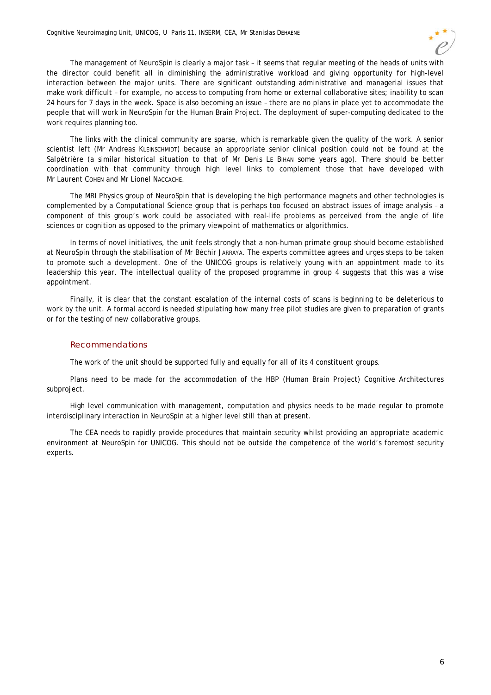

The management of NeuroSpin is clearly a major task – it seems that regular meeting of the heads of units with the director could benefit all in diminishing the administrative workload and giving opportunity for high-level interaction between the major units. There are significant outstanding administrative and managerial issues that make work difficult – for example, no access to computing from home or external collaborative sites; inability to scan 24 hours for 7 days in the week. Space is also becoming an issue – there are no plans in place yet to accommodate the people that will work in NeuroSpin for the Human Brain Project. The deployment of super-computing dedicated to the work requires planning too.

The links with the clinical community are sparse, which is remarkable given the quality of the work. A senior scientist left (Mr Andreas KLEINSCHMIDT) because an appropriate senior clinical position could not be found at the Salpétrière (a similar historical situation to that of Mr Denis LE BIHAN some years ago). There should be better coordination with that community through high level links to complement those that have developed with Mr Laurent COHEN and Mr Lionel NACCACHE.

The MRI Physics group of NeuroSpin that is developing the high performance magnets and other technologies is complemented by a Computational Science group that is perhaps too focused on abstract issues of image analysis – a component of this group's work could be associated with real-life problems as perceived from the angle of life sciences or cognition as opposed to the primary viewpoint of mathematics or algorithmics.

In terms of novel initiatives, the unit feels strongly that a non-human primate group should become established at NeuroSpin through the stabilisation of Mr Béchir JARRAYA. The experts committee agrees and urges steps to be taken to promote such a development. One of the UNICOG groups is relatively young with an appointment made to its leadership this year. The intellectual quality of the proposed programme in group 4 suggests that this was a wise appointment.

Finally, it is clear that the constant escalation of the internal costs of scans is beginning to be deleterious to work by the unit. A formal accord is needed stipulating how many free pilot studies are given to preparation of grants or for the testing of new collaborative groups.

#### Recommendations

The work of the unit should be supported fully and equally for all of its 4 constituent groups.

Plans need to be made for the accommodation of the HBP (Human Brain Project) Cognitive Architectures subproject.

High level communication with management, computation and physics needs to be made regular to promote interdisciplinary interaction in NeuroSpin at a higher level still than at present.

The CEA needs to rapidly provide procedures that maintain security whilst providing an appropriate academic environment at NeuroSpin for UNICOG. This should not be outside the competence of the world's foremost security experts.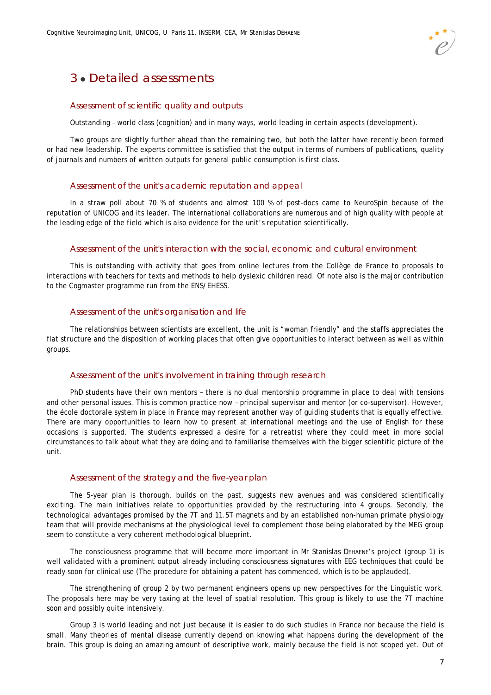### 3 Detailed assessments

#### Assessment of scientific quality and outputs

Outstanding – world class (cognition) and in many ways, world leading in certain aspects (development).

Two groups are slightly further ahead than the remaining two, but both the latter have recently been formed or had new leadership. The experts committee is satisfied that the output in terms of numbers of publications, quality of journals and numbers of written outputs for general public consumption is first class.

### Assessment of the unit's academic reputation and appeal

In a straw poll about 70 % of students and almost 100 % of post-docs came to NeuroSpin because of the reputation of UNICOG and its leader. The international collaborations are numerous and of high quality with people at the leading edge of the field which is also evidence for the unit's reputation scientifically.

### Assessment of the unit's interaction with the social, economic and cultural environment

This is outstanding with activity that goes from online lectures from the Collège de France to proposals to interactions with teachers for texts and methods to help dyslexic children read. Of note also is the major contribution to the Cogmaster programme run from the ENS/EHESS.

### Assessment of the unit's organisation and life

The relationships between scientists are excellent, the unit is "woman friendly" and the staffs appreciates the flat structure and the disposition of working places that often give opportunities to interact between as well as within groups.

### Assessment of the unit's involvement in training through research

PhD students have their own mentors – there is no dual mentorship programme in place to deal with tensions and other personal issues. This is common practice now – principal supervisor and mentor (or co-supervisor). However, the école doctorale system in place in France may represent another way of guiding students that is equally effective. There are many opportunities to learn how to present at international meetings and the use of English for these occasions is supported. The students expressed a desire for a retreat(s) where they could meet in more social circumstances to talk about what they are doing and to familiarise themselves with the bigger scientific picture of the unit.

### Assessment of the strategy and the five-year plan

The 5-year plan is thorough, builds on the past, suggests new avenues and was considered scientifically exciting. The main initiatives relate to opportunities provided by the restructuring into 4 groups. Secondly, the technological advantages promised by the 7T and 11.5T magnets and by an established non-human primate physiology team that will provide mechanisms at the physiological level to complement those being elaborated by the MEG group seem to constitute a very coherent methodological blueprint.

The consciousness programme that will become more important in Mr Stanislas DEHAENE's project (group 1) is well validated with a prominent output already including consciousness signatures with EEG techniques that could be ready soon for clinical use (The procedure for obtaining a patent has commenced, which is to be applauded).

The strengthening of group 2 by two permanent engineers opens up new perspectives for the Linguistic work. The proposals here may be very taxing at the level of spatial resolution. This group is likely to use the 7T machine soon and possibly quite intensively.

Group 3 is world leading and not just because it is easier to do such studies in France nor because the field is small. Many theories of mental disease currently depend on knowing what happens during the development of the brain. This group is doing an amazing amount of descriptive work, mainly because the field is not scoped yet. Out of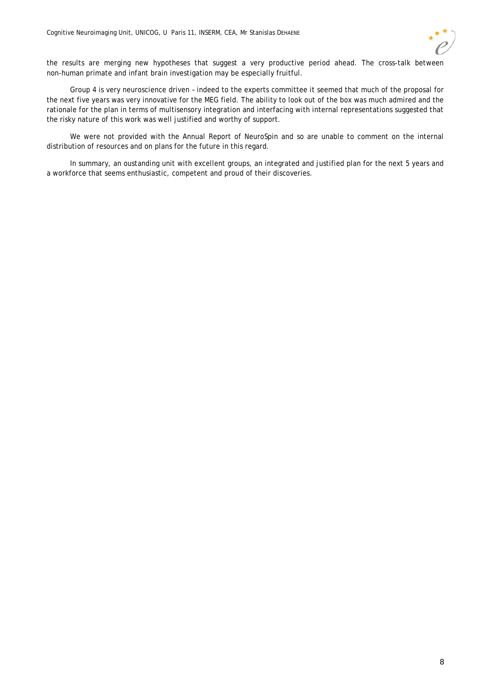

the results are merging new hypotheses that suggest a very productive period ahead. The cross-talk between non-human primate and infant brain investigation may be especially fruitful.

Group 4 is very neuroscience driven – indeed to the experts committee it seemed that much of the proposal for the next five years was very innovative for the MEG field. The ability to look out of the box was much admired and the rationale for the plan in terms of multisensory integration and interfacing with internal representations suggested that the risky nature of this work was well justified and worthy of support.

We were not provided with the Annual Report of NeuroSpin and so are unable to comment on the internal distribution of resources and on plans for the future in this regard.

In summary, an oustanding unit with excellent groups, an integrated and justified plan for the next 5 years and a workforce that seems enthusiastic, competent and proud of their discoveries.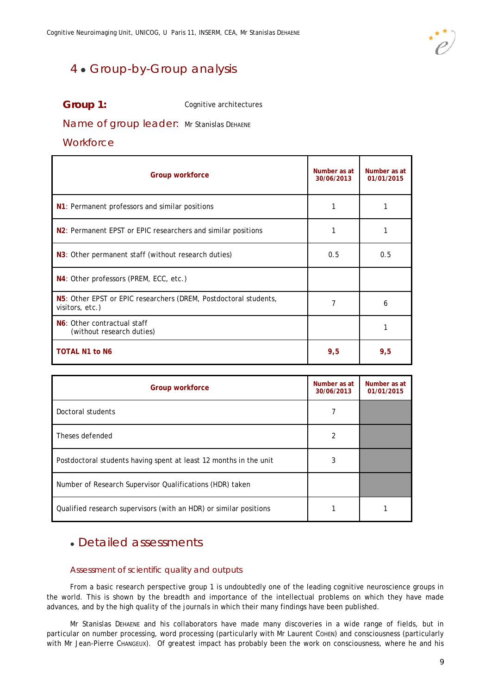

### 4 · Group-by-Group analysis

### **Group 1:** Cognitive architectures

### Name of group leader: Mr Stanislas DEHAENE

### **Workforce**

| <b>Group workforce</b>                                                              | Number as at<br>30/06/2013 | Number as at<br>01/01/2015 |
|-------------------------------------------------------------------------------------|----------------------------|----------------------------|
| N1: Permanent professors and similar positions                                      |                            |                            |
| N <sub>2</sub> : Permanent EPST or EPIC researchers and similar positions           |                            |                            |
| N3: Other permanent staff (without research duties)                                 | 0.5                        | 0.5                        |
| N4: Other professors (PREM, ECC, etc.)                                              |                            |                            |
| N5: Other EPST or EPIC researchers (DREM, Postdoctoral students,<br>visitors, etc.) | 7                          | 6                          |
| N6: Other contractual staff<br>(without research duties)                            |                            |                            |
| <b>TOTAL N1 to N6</b>                                                               | 9,5                        | 9,5                        |

| <b>Group workforce</b>                                            | Number as at<br>30/06/2013 | Number as at<br>01/01/2015 |
|-------------------------------------------------------------------|----------------------------|----------------------------|
| Doctoral students                                                 | 7                          |                            |
| Theses defended                                                   | 2                          |                            |
| Postdoctoral students having spent at least 12 months in the unit | 3                          |                            |
| Number of Research Supervisor Qualifications (HDR) taken          |                            |                            |
| Qualified research supervisors (with an HDR) or similar positions |                            |                            |

### Detailed assessments

### Assessment of scientific quality and outputs

From a basic research perspective group 1 is undoubtedly one of the leading cognitive neuroscience groups in the world. This is shown by the breadth and importance of the intellectual problems on which they have made advances, and by the high quality of the journals in which their many findings have been published.

Mr Stanislas DEHAENE and his collaborators have made many discoveries in a wide range of fields, but in particular on number processing, word processing (particularly with Mr Laurent COHEN) and consciousness (particularly with Mr Jean-Pierre CHANGEUX). Of greatest impact has probably been the work on consciousness, where he and his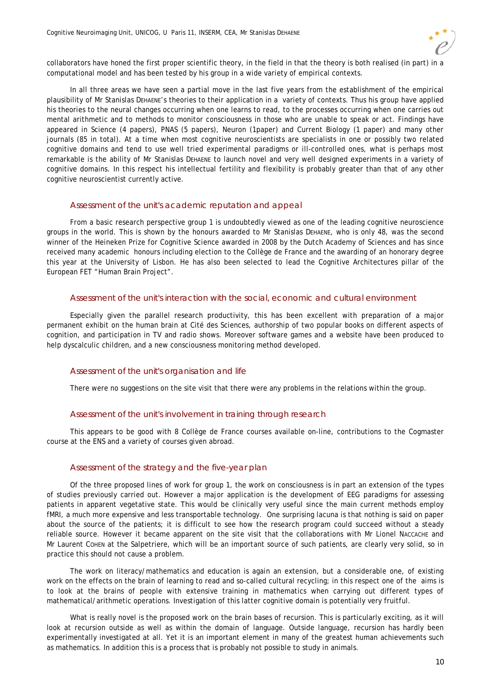

collaborators have honed the first proper scientific theory, in the field in that the theory is both realised (in part) in a computational model and has been tested by his group in a wide variety of empirical contexts.

In all three areas we have seen a partial move in the last five years from the establishment of the empirical plausibility of Mr Stanislas DEHAENE's theories to their application in a variety of contexts. Thus his group have applied his theories to the neural changes occurring when one learns to read, to the processes occurring when one carries out mental arithmetic and to methods to monitor consciousness in those who are unable to speak or act. Findings have appeared in Science (4 papers), PNAS (5 papers), Neuron (1paper) and Current Biology (1 paper) and many other journals (85 in total). At a time when most cognitive neuroscientists are specialists in one or possibly two related cognitive domains and tend to use well tried experimental paradigms or ill-controlled ones, what is perhaps most remarkable is the ability of Mr Stanislas DEHAENE to launch novel and very well designed experiments in a variety of cognitive domains. In this respect his intellectual fertility and flexibility is probably greater than that of any other cognitive neuroscientist currently active.

### Assessment of the unit's academic reputation and appeal

From a basic research perspective group 1 is undoubtedly viewed as one of the leading cognitive neuroscience groups in the world. This is shown by the honours awarded to Mr Stanislas DEHAENE, who is only 48, was the second winner of the Heineken Prize for Cognitive Science awarded in 2008 by the Dutch Academy of Sciences and has since received many academic honours including election to the Collège de France and the awarding of an honorary degree this year at the University of Lisbon. He has also been selected to lead the Cognitive Architectures pillar of the European FET "Human Brain Project".

### Assessment of the unit's interaction with the social, economic and cultural environment

Especially given the parallel research productivity, this has been excellent with preparation of a major permanent exhibit on the human brain at Cité des Sciences, authorship of two popular books on different aspects of cognition, and participation in TV and radio shows. Moreover software games and a website have been produced to help dyscalculic children, and a new consciousness monitoring method developed.

#### Assessment of the unit's organisation and life

There were no suggestions on the site visit that there were any problems in the relations within the group.

### Assessment of the unit's involvement in training through research

This appears to be good with 8 Collège de France courses available on-line, contributions to the Cogmaster course at the ENS and a variety of courses given abroad.

### Assessment of the strategy and the five-year plan

Of the three proposed lines of work for group 1, the work on consciousness is in part an extension of the types of studies previously carried out. However a major application is the development of EEG paradigms for assessing patients in apparent vegetative state. This would be clinically very useful since the main current methods employ fMRI, a much more expensive and less transportable technology. One surprising lacuna is that nothing is said on paper about the source of the patients; it is difficult to see how the research program could succeed without a steady reliable source. However it became apparent on the site visit that the collaborations with Mr Lionel NACCACHE and Mr Laurent COHEN at the Salpetriere, which will be an important source of such patients, are clearly very solid, so in practice this should not cause a problem.

The work on literacy/mathematics and education is again an extension, but a considerable one, of existing work on the effects on the brain of learning to read and so-called cultural recycling; in this respect one of the aims is to look at the brains of people with extensive training in mathematics when carrying out different types of mathematical/arithmetic operations. Investigation of this latter cognitive domain is potentially very fruitful.

What is really novel is the proposed work on the brain bases of recursion. This is particularly exciting, as it will look at recursion outside as well as within the domain of language. Outside language, recursion has hardly been experimentally investigated at all. Yet it is an important element in many of the greatest human achievements such as mathematics. In addition this is a process that is probably not possible to study in animals.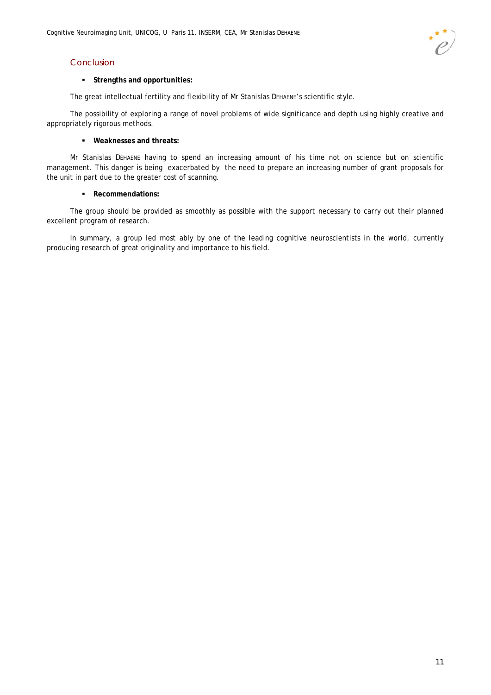### Conclusion

### **Strengths and opportunities:**

The great intellectual fertility and flexibility of Mr Stanislas DEHAENE's scientific style.

The possibility of exploring a range of novel problems of wide significance and depth using highly creative and appropriately rigorous methods.

### **Weaknesses and threats:**

Mr Stanislas DEHAENE having to spend an increasing amount of his time not on science but on scientific management. This danger is being exacerbated by the need to prepare an increasing number of grant proposals for the unit in part due to the greater cost of scanning.

### **Recommendations:**

The group should be provided as smoothly as possible with the support necessary to carry out their planned excellent program of research.

In summary, a group led most ably by one of the leading cognitive neuroscientists in the world, currently producing research of great originality and importance to his field.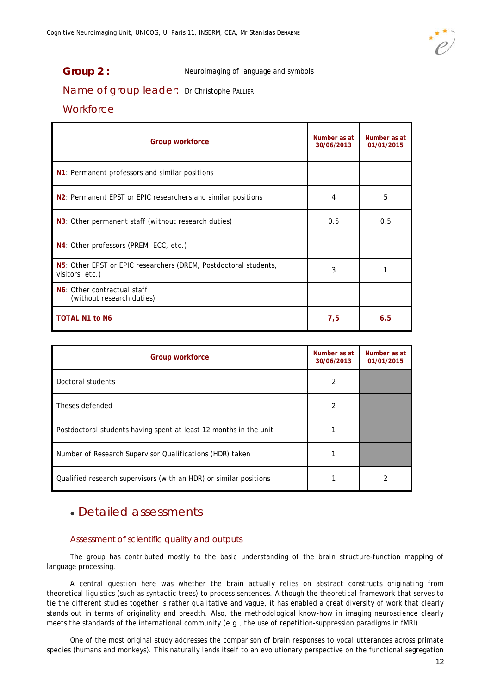

**Group 2 :** Neuroimaging of language and symbols

Name of group leader: Dr Christophe PALLIER

### **Workforce**

| <b>Group workforce</b>                                                              | Number as at<br>30/06/2013 | Number as at<br>01/01/2015 |
|-------------------------------------------------------------------------------------|----------------------------|----------------------------|
| N1: Permanent professors and similar positions                                      |                            |                            |
| N <sub>2</sub> : Permanent EPST or EPIC researchers and similar positions           | 4                          | 5                          |
| N3: Other permanent staff (without research duties)                                 | 0.5                        | 0.5                        |
| N4: Other professors (PREM, ECC, etc.)                                              |                            |                            |
| N5: Other EPST or EPIC researchers (DREM, Postdoctoral students,<br>visitors, etc.) | 3                          |                            |
| N6: Other contractual staff<br>(without research duties)                            |                            |                            |
| <b>TOTAL N1 to N6</b>                                                               | 7,5                        | 6,5                        |

| Group workforce                                                   | Number as at<br>30/06/2013 | Number as at<br>01/01/2015 |
|-------------------------------------------------------------------|----------------------------|----------------------------|
| Doctoral students                                                 | 2                          |                            |
| Theses defended                                                   | 2                          |                            |
| Postdoctoral students having spent at least 12 months in the unit |                            |                            |
| Number of Research Supervisor Qualifications (HDR) taken          |                            |                            |
| Qualified research supervisors (with an HDR) or similar positions |                            |                            |

### Detailed assessments

### Assessment of scientific quality and outputs

The group has contributed mostly to the basic understanding of the brain structure-function mapping of language processing.

A central question here was whether the brain actually relies on abstract constructs originating from theoretical liguistics (such as syntactic trees) to process sentences. Although the theoretical framework that serves to tie the different studies together is rather qualitative and vague, it has enabled a great diversity of work that clearly stands out in terms of originality and breadth. Also, the methodological know-how in imaging neuroscience clearly meets the standards of the international community (e.g., the use of repetition-suppression paradigms in fMRI).

One of the most original study addresses the comparison of brain responses to vocal utterances across primate species (humans and monkeys). This naturally lends itself to an evolutionary perspective on the functional segregation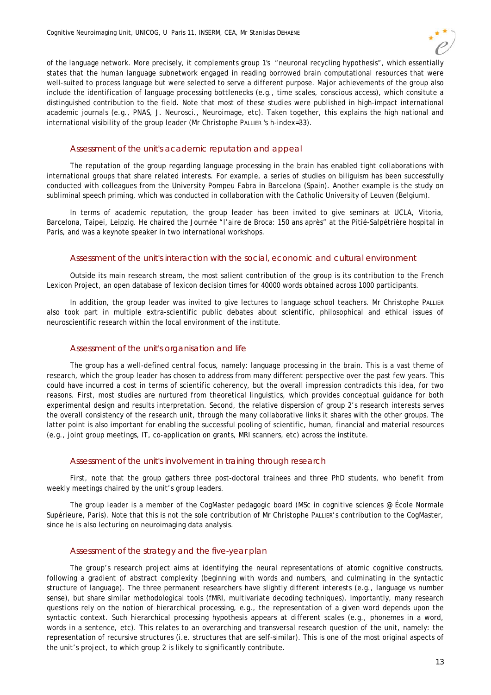of the language network. More precisely, it complements group 1's "neuronal recycling hypothesis", which essentially states that the human language subnetwork engaged in reading borrowed brain computational resources that were well-suited to process language but were selected to serve a different purpose. Major achievements of the group also include the identification of language processing bottlenecks (e.g., time scales, conscious access), which consitute a distinguished contribution to the field. Note that most of these studies were published in high-impact international academic journals (e.g., PNAS, J. Neurosci., Neuroimage, etc). Taken together, this explains the high national and international visibility of the group leader (Mr Christophe PALLIER 's h-index=33).

### Assessment of the unit's academic reputation and appeal

The reputation of the group regarding language processing in the brain has enabled tight collaborations with international groups that share related interests. For example, a series of studies on biliguism has been successfully conducted with colleagues from the University Pompeu Fabra in Barcelona (Spain). Another example is the study on subliminal speech priming, which was conducted in collaboration with the Catholic University of Leuven (Belgium).

In terms of academic reputation, the group leader has been invited to give seminars at UCLA, Vitoria, Barcelona, Taipei, Leipzig. He chaired the Journée "l'aire de Broca: 150 ans après" at the Pitié-Salpétrière hospital in Paris, and was a keynote speaker in two international workshops.

### Assessment of the unit's interaction with the social, economic and cultural environment

Outside its main research stream, the most salient contribution of the group is its contribution to the French Lexicon Project, an open database of lexicon decision times for 40000 words obtained across 1000 participants.

In addition, the group leader was invited to give lectures to language school teachers. Mr Christophe PALLIER also took part in multiple extra-scientific public debates about scientific, philosophical and ethical issues of neuroscientific research within the local environment of the institute.

### Assessment of the unit's organisation and life

The group has a well-defined central focus, namely: language processing in the brain. This is a vast theme of research, which the group leader has chosen to address from many different perspective over the past few years. This could have incurred a cost in terms of scientific coherency, but the overall impression contradicts this idea, for two reasons. First, most studies are nurtured from theoretical linguistics, which provides conceptual guidance for both experimental design and results interpretation. Second, the relative dispersion of group 2's research interests serves the overall consistency of the research unit, through the many collaborative links it shares with the other groups. The latter point is also important for enabling the successful pooling of scientific, human, financial and material resources (e.g., joint group meetings, IT, co-application on grants, MRI scanners, etc) across the institute.

### Assessment of the unit's involvement in training through research

First, note that the group gathers three post-doctoral trainees and three PhD students, who benefit from weekly meetings chaired by the unit's group leaders.

The group leader is a member of the CogMaster pedagogic board (MSc in cognitive sciences @ École Normale Supérieure, Paris). Note that this is not the sole contribution of Mr Christophe PALLIER's contribution to the CogMaster, since he is also lecturing on neuroimaging data analysis.

### Assessment of the strategy and the five-year plan

The group's research project aims at identifying the neural representations of atomic cognitive constructs, following a gradient of abstract complexity (beginning with words and numbers, and culminating in the syntactic structure of language). The three permanent researchers have slightly different interests (e.g., language vs number sense), but share similar methodological tools (fMRI, multivariate decoding techniques). Importantly, many research questions rely on the notion of hierarchical processing, e.g., the representation of a given word depends upon the syntactic context. Such hierarchical processing hypothesis appears at different scales (e.g., phonemes in a word, words in a sentence, etc). This relates to an overarching and transversal research question of the unit, namely: the representation of recursive structures (i.e. structures that are self-similar). This is one of the most original aspects of the unit's project, to which group 2 is likely to significantly contribute.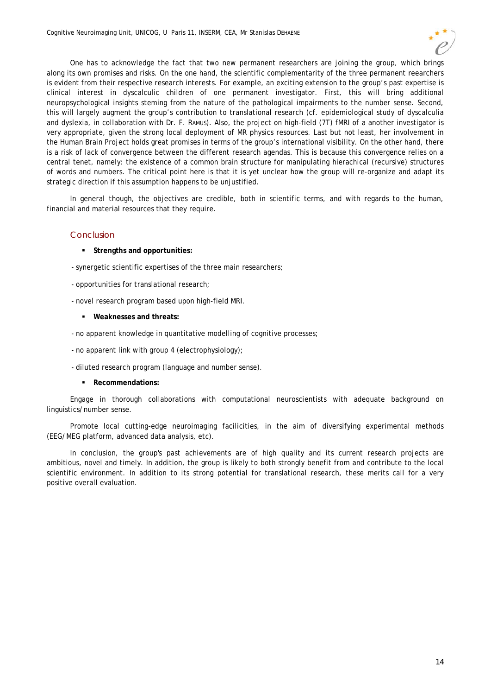

One has to acknowledge the fact that two new permanent researchers are joining the group, which brings along its own promises and risks. On the one hand, the scientific complementarity of the three permanent reearchers is evident from their respective research interests. For example, an exciting extension to the group's past expertise is clinical interest in dyscalculic children of one permanent investigator. First, this will bring additional neuropsychological insights steming from the nature of the pathological impairments to the number sense. Second, this will largely augment the group's contribution to translational research (cf. epidemiological study of dyscalculia and dyslexia, in collaboration with Dr. F. RAMUS). Also, the project on high-field (7T) fMRI of a another investigator is very appropriate, given the strong local deployment of MR physics resources. Last but not least, her involvement in the Human Brain Project holds great promises in terms of the group's international visibility. On the other hand, there is a risk of lack of convergence between the different research agendas. This is because this convergence relies on a central tenet, namely: the existence of a common brain structure for manipulating hierachical (recursive) structures of words and numbers. The critical point here is that it is yet unclear how the group will re-organize and adapt its strategic direction if this assumption happens to be unjustified.

In general though, the objectives are credible, both in scientific terms, and with regards to the human, financial and material resources that they require.

### Conclusion

- **Strengths and opportunities:**
- synergetic scientific expertises of the three main researchers;
- opportunities for translational research;
- novel research program based upon high-field MRI.
	- **Weaknesses and threats:**
- no apparent knowledge in quantitative modelling of cognitive processes;
- no apparent link with group 4 (electrophysiology);
- diluted research program (language and number sense).
	- **Recommendations:**

Engage in thorough collaborations with computational neuroscientists with adequate background on linguistics/number sense.

Promote local cutting-edge neuroimaging facilicities, in the aim of diversifying experimental methods (EEG/MEG platform, advanced data analysis, etc).

In conclusion, the group's past achievements are of high quality and its current research projects are ambitious, novel and timely. In addition, the group is likely to both strongly benefit from and contribute to the local scientific environment. In addition to its strong potential for translational research, these merits call for a very positive overall evaluation.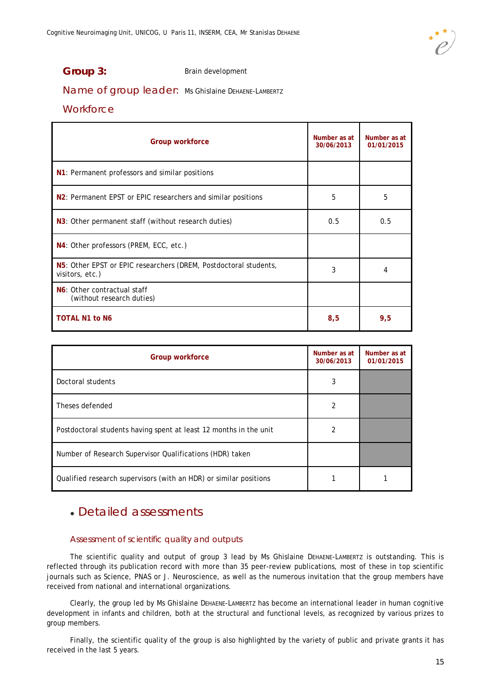

### Group 3: Brain development

### Name of group leader: Ms Ghislaine DEHAENE-LAMBERTZ

### **Workforce**

| <b>Group workforce</b>                                                              | Number as at<br>30/06/2013 | Number as at<br>01/01/2015 |
|-------------------------------------------------------------------------------------|----------------------------|----------------------------|
| N1: Permanent professors and similar positions                                      |                            |                            |
| N <sub>2</sub> : Permanent EPST or EPIC researchers and similar positions           | 5                          | 5                          |
| N3: Other permanent staff (without research duties)                                 | 0.5                        | 0.5                        |
| N4: Other professors (PREM, ECC, etc.)                                              |                            |                            |
| N5: Other EPST or EPIC researchers (DREM, Postdoctoral students,<br>visitors, etc.) | 3                          | 4                          |
| N6: Other contractual staff<br>(without research duties)                            |                            |                            |
| <b>TOTAL N1 to N6</b>                                                               | 8,5                        | 9,5                        |

| <b>Group workforce</b>                                            | Number as at<br>30/06/2013 | Number as at<br>01/01/2015 |
|-------------------------------------------------------------------|----------------------------|----------------------------|
| Doctoral students                                                 | 3                          |                            |
| Theses defended                                                   | 2                          |                            |
| Postdoctoral students having spent at least 12 months in the unit | 2                          |                            |
| Number of Research Supervisor Qualifications (HDR) taken          |                            |                            |
| Qualified research supervisors (with an HDR) or similar positions |                            |                            |

### Detailed assessments

### Assessment of scientific quality and outputs

The scientific quality and output of group 3 lead by Ms Ghislaine DEHAENE-LAMBERTZ is outstanding. This is reflected through its publication record with more than 35 peer-review publications, most of these in top scientific journals such as Science, PNAS or J. Neuroscience, as well as the numerous invitation that the group members have received from national and international organizations.

Clearly, the group led by Ms Ghislaine DEHAENE-LAMBERTZ has become an international leader in human cognitive development in infants and children, both at the structural and functional levels, as recognized by various prizes to group members.

Finally, the scientific quality of the group is also highlighted by the variety of public and private grants it has received in the last 5 years.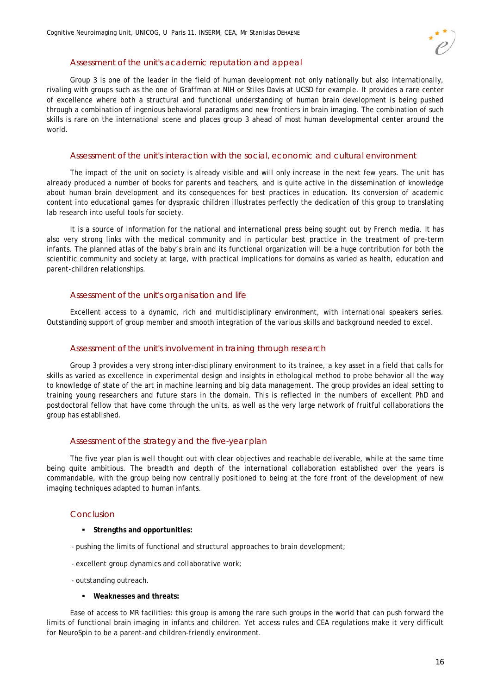### Assessment of the unit's academic reputation and appeal

Group 3 is one of the leader in the field of human development not only nationally but also internationally, rivaling with groups such as the one of Graffman at NIH or Stiles Davis at UCSD for example. It provides a rare center of excellence where both a structural and functional understanding of human brain development is being pushed through a combination of ingenious behavioral paradigms and new frontiers in brain imaging. The combination of such skills is rare on the international scene and places group 3 ahead of most human developmental center around the world.

#### Assessment of the unit's interaction with the social, economic and cultural environment

The impact of the unit on society is already visible and will only increase in the next few years. The unit has already produced a number of books for parents and teachers, and is quite active in the dissemination of knowledge about human brain development and its consequences for best practices in education. Its conversion of academic content into educational games for dyspraxic children illustrates perfectly the dedication of this group to translating lab research into useful tools for society.

It is a source of information for the national and international press being sought out by French media. It has also very strong links with the medical community and in particular best practice in the treatment of pre-term infants. The planned atlas of the baby's brain and its functional organization will be a huge contribution for both the scientific community and society at large, with practical implications for domains as varied as health, education and parent-children relationships.

### Assessment of the unit's organisation and life

Excellent access to a dynamic, rich and multidisciplinary environment, with international speakers series. Outstanding support of group member and smooth integration of the various skills and background needed to excel.

### Assessment of the unit's involvement in training through research

Group 3 provides a very strong inter-disciplinary environment to its trainee, a key asset in a field that calls for skills as varied as excellence in experimental design and insights in ethological method to probe behavior all the way to knowledge of state of the art in machine learning and big data management. The group provides an ideal setting to training young researchers and future stars in the domain. This is reflected in the numbers of excellent PhD and postdoctoral fellow that have come through the units, as well as the very large network of fruitful collaborations the group has established.

### Assessment of the strategy and the five-year plan

The five year plan is well thought out with clear objectives and reachable deliverable, while at the same time being quite ambitious. The breadth and depth of the international collaboration established over the years is commandable, with the group being now centrally positioned to being at the fore front of the development of new imaging techniques adapted to human infants.

### Conclusion

- **Strengths and opportunities:**
- pushing the limits of functional and structural approaches to brain development;
- excellent group dynamics and collaborative work;
- outstanding outreach.
	- **Weaknesses and threats:**

Ease of access to MR facilities: this group is among the rare such groups in the world that can push forward the limits of functional brain imaging in infants and children. Yet access rules and CEA regulations make it very difficult for NeuroSpin to be a parent-and children-friendly environment.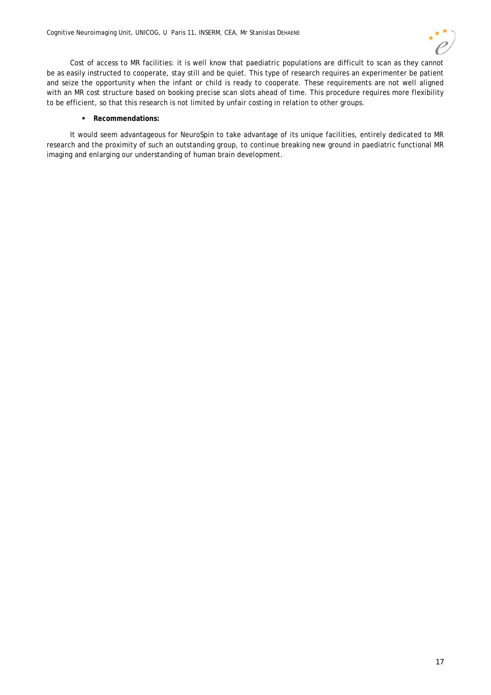

Cost of access to MR facilities: it is well know that paediatric populations are difficult to scan as they cannot be as easily instructed to cooperate, stay still and be quiet. This type of research requires an experimenter be patient and seize the opportunity when the infant or child is ready to cooperate. These requirements are not well aligned with an MR cost structure based on booking precise scan slots ahead of time. This procedure requires more flexibility to be efficient, so that this research is not limited by unfair costing in relation to other groups.

### **Recommendations:**

It would seem advantageous for NeuroSpin to take advantage of its unique facilities, entirely dedicated to MR research and the proximity of such an outstanding group, to continue breaking new ground in paediatric functional MR imaging and enlarging our understanding of human brain development.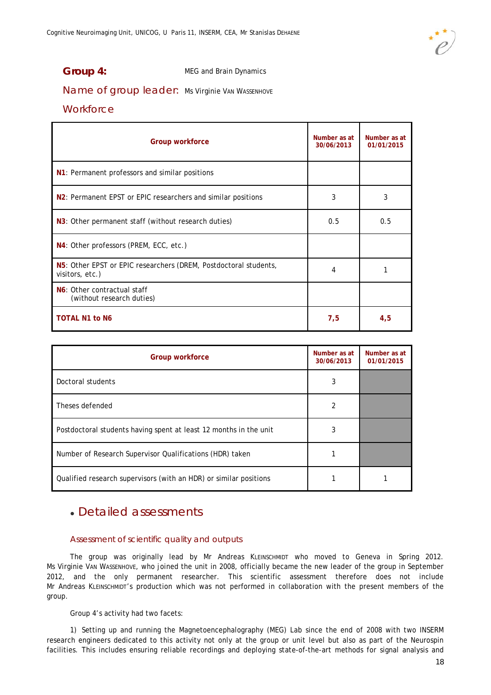

### **Group 4:** MEG and Brain Dynamics

Name of group leader: Ms Virginie VAN WASSENHOVE

### **Workforce**

| <b>Group workforce</b>                                                              | Number as at<br>30/06/2013 | Number as at<br>01/01/2015 |
|-------------------------------------------------------------------------------------|----------------------------|----------------------------|
| N1: Permanent professors and similar positions                                      |                            |                            |
| N <sub>2</sub> : Permanent EPST or EPIC researchers and similar positions           | 3                          | 3                          |
| N3: Other permanent staff (without research duties)                                 | 0.5                        | 0.5                        |
| N4: Other professors (PREM, ECC, etc.)                                              |                            |                            |
| N5: Other EPST or EPIC researchers (DREM, Postdoctoral students,<br>visitors, etc.) | 4                          |                            |
| N6: Other contractual staff<br>(without research duties)                            |                            |                            |
| <b>TOTAL N1 to N6</b>                                                               | 7,5                        | 4,5                        |

| <b>Group workforce</b>                                            | Number as at<br>30/06/2013 | Number as at<br>01/01/2015 |
|-------------------------------------------------------------------|----------------------------|----------------------------|
| Doctoral students                                                 | 3                          |                            |
| Theses defended                                                   | 2                          |                            |
| Postdoctoral students having spent at least 12 months in the unit | 3                          |                            |
| Number of Research Supervisor Qualifications (HDR) taken          |                            |                            |
| Qualified research supervisors (with an HDR) or similar positions |                            |                            |

### Detailed assessments

### Assessment of scientific quality and outputs

The group was originally lead by Mr Andreas KLEINSCHMIDT who moved to Geneva in Spring 2012. Ms Virginie VAN WASSENHOVE, who joined the unit in 2008, officially became the new leader of the group in September 2012, and the only permanent researcher. This scientific assessment therefore does not include Mr Andreas KLEINSCHMIDT's production which was not performed in collaboration with the present members of the group.

Group 4's activity had two facets:

1) Setting up and running the Magnetoencephalography (MEG) Lab since the end of 2008 with two INSERM research engineers dedicated to this activity not only at the group or unit level but also as part of the Neurospin facilities. This includes ensuring reliable recordings and deploying state-of-the-art methods for signal analysis and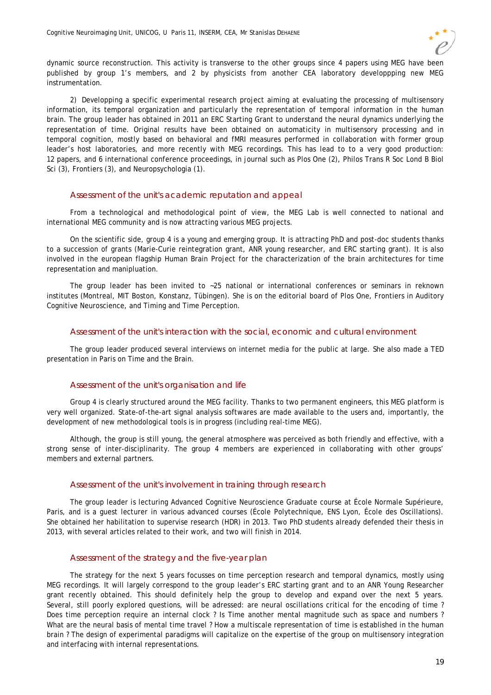dynamic source reconstruction. This activity is transverse to the other groups since 4 papers using MEG have been published by group 1's members, and 2 by physicists from another CEA laboratory developpping new MEG instrumentation.

2) Developping a specific experimental research project aiming at evaluating the processing of multisensory information, its temporal organization and particularly the representation of temporal information in the human brain. The group leader has obtained in 2011 an ERC Starting Grant to understand the neural dynamics underlying the representation of time. Original results have been obtained on automaticity in multisensory processing and in temporal cognition, mostly based on behavioral and fMRI measures performed in collaboration with former group leader's host laboratories, and more recently with MEG recordings. This has lead to to a very good production: 12 papers, and 6 international conference proceedings, in journal such as Plos One (2), Philos Trans R Soc Lond B Biol Sci (3), Frontiers (3), and Neuropsychologia (1).

### Assessment of the unit's academic reputation and appeal

From a technological and methodological point of view, the MEG Lab is well connected to national and international MEG community and is now attracting various MEG projects.

On the scientific side, group 4 is a young and emerging group. It is attracting PhD and post-doc students thanks to a succession of grants (Marie-Curie reintegration grant, ANR young researcher, and ERC starting grant). It is also involved in the european flagship Human Brain Project for the characterization of the brain architectures for time representation and manipluation.

The group leader has been invited to ~25 national or international conferences or seminars in reknown institutes (Montreal, MIT Boston, Konstanz, Tübingen). She is on the editorial board of Plos One, Frontiers in Auditory Cognitive Neuroscience, and Timing and Time Perception.

#### Assessment of the unit's interaction with the social, economic and cultural environment

The group leader produced several interviews on internet media for the public at large. She also made a TED presentation in Paris on Time and the Brain.

### Assessment of the unit's organisation and life

Group 4 is clearly structured around the MEG facility. Thanks to two permanent engineers, this MEG platform is very well organized. State-of-the-art signal analysis softwares are made available to the users and, importantly, the development of new methodological tools is in progress (including real-time MEG).

Although, the group is still young, the general atmosphere was perceived as both friendly and effective, with a strong sense of inter-disciplinarity. The group 4 members are experienced in collaborating with other groups' members and external partners.

### Assessment of the unit's involvement in training through research

The group leader is lecturing Advanced Cognitive Neuroscience Graduate course at École Normale Supérieure, Paris, and is a guest lecturer in various advanced courses (École Polytechnique, ENS Lyon, École des Oscillations). She obtained her habilitation to supervise research (HDR) in 2013. Two PhD students already defended their thesis in 2013, with several articles related to their work, and two will finish in 2014.

### Assessment of the strategy and the five-year plan

The strategy for the next 5 years focusses on time perception research and temporal dynamics, mostly using MEG recordings. It will largely correspond to the group leader's ERC starting grant and to an ANR Young Researcher grant recently obtained. This should definitely help the group to develop and expand over the next 5 years. Several, still poorly explored questions, will be adressed: are neural oscillations critical for the encoding of time ? Does time perception require an internal clock ? Is Time another mental magnitude such as space and numbers ? What are the neural basis of mental time travel ? How a multiscale representation of time is established in the human brain ? The design of experimental paradigms will capitalize on the expertise of the group on multisensory integration and interfacing with internal representations.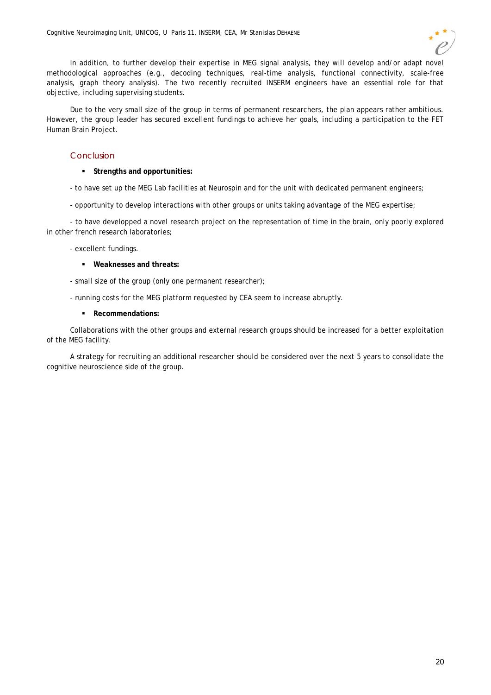In addition, to further develop their expertise in MEG signal analysis, they will develop and/or adapt novel methodological approaches (e.g., decoding techniques, real-time analysis, functional connectivity, scale-free analysis, graph theory analysis). The two recently recruited INSERM engineers have an essential role for that objective, including supervising students.

Due to the very small size of the group in terms of permanent researchers, the plan appears rather ambitious. However, the group leader has secured excellent fundings to achieve her goals, including a participation to the FET Human Brain Project.

### Conclusion

### **Strengths and opportunities:**

- to have set up the MEG Lab facilities at Neurospin and for the unit with dedicated permanent engineers;
- opportunity to develop interactions with other groups or units taking advantage of the MEG expertise;

- to have developped a novel research project on the representation of time in the brain, only poorly explored in other french research laboratories;

- excellent fundings.
	- **Weaknesses and threats:**
- small size of the group (only one permanent researcher);
- running costs for the MEG platform requested by CEA seem to increase abruptly.
	- **Recommendations:**

Collaborations with the other groups and external research groups should be increased for a better exploitation of the MEG facility.

A strategy for recruiting an additional researcher should be considered over the next 5 years to consolidate the cognitive neuroscience side of the group.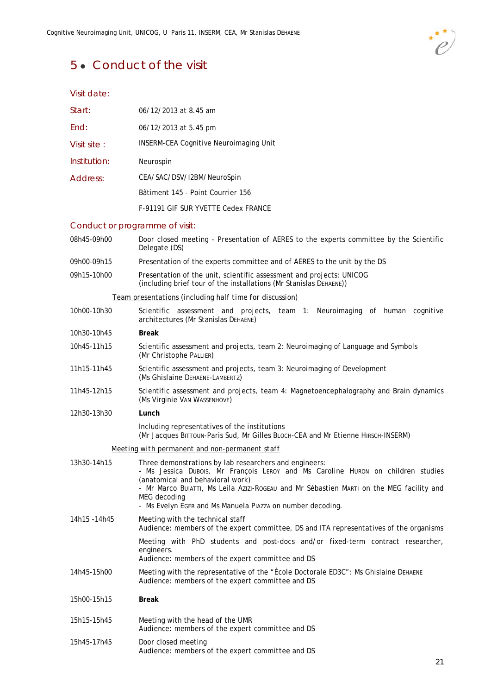### 5 • Conduct of the visit



Visit date:

| Start:       | 06/12/2013 at 8.45 am                                                                                                                                                                                                                                                                                                                                  |
|--------------|--------------------------------------------------------------------------------------------------------------------------------------------------------------------------------------------------------------------------------------------------------------------------------------------------------------------------------------------------------|
| End:         | 06/12/2013 at 5.45 pm                                                                                                                                                                                                                                                                                                                                  |
| Visit site:  | <b>INSERM-CEA Cognitive Neuroimaging Unit</b>                                                                                                                                                                                                                                                                                                          |
| Institution: | Neurospin                                                                                                                                                                                                                                                                                                                                              |
| Address:     | CEA/SAC/DSV/I2BM/NeuroSpin                                                                                                                                                                                                                                                                                                                             |
|              | Bâtiment 145 - Point Courrier 156                                                                                                                                                                                                                                                                                                                      |
|              | F-91191 GIF SUR YVETTE Cedex FRANCE                                                                                                                                                                                                                                                                                                                    |
|              | Conduct or programme of visit:                                                                                                                                                                                                                                                                                                                         |
| 08h45-09h00  | Door closed meeting - Presentation of AERES to the experts committee by the Scientific<br>Delegate (DS)                                                                                                                                                                                                                                                |
| 09h00-09h15  | Presentation of the experts committee and of AERES to the unit by the DS                                                                                                                                                                                                                                                                               |
| 09h15-10h00  | Presentation of the unit, scientific assessment and projects: UNICOG<br>(including brief tour of the installations (Mr Stanislas DEHAENE))                                                                                                                                                                                                             |
|              | Team presentations (including half time for discussion)                                                                                                                                                                                                                                                                                                |
| 10h00-10h30  | Scientific assessment and projects, team 1: Neuroimaging of human cognitive<br>architectures (Mr Stanislas DEHAENE)                                                                                                                                                                                                                                    |
| 10h30-10h45  | <b>Break</b>                                                                                                                                                                                                                                                                                                                                           |
| 10h45-11h15  | Scientific assessment and projects, team 2: Neuroimaging of Language and Symbols<br>(Mr Christophe PALLIER)                                                                                                                                                                                                                                            |
| 11h15-11h45  | Scientific assessment and projects, team 3: Neuroimaging of Development<br>(Ms Ghislaine DEHAENE-LAMBERTZ)                                                                                                                                                                                                                                             |
| 11h45-12h15  | Scientific assessment and projects, team 4: Magnetoencephalography and Brain dynamics<br>(Ms Virginie VAN WASSENHOVE)                                                                                                                                                                                                                                  |
| 12h30-13h30  | Lunch                                                                                                                                                                                                                                                                                                                                                  |
|              | Including representatives of the institutions<br>(Mr Jacques BITTOUN-Paris Sud, Mr Gilles BLOCH-CEA and Mr Etienne HIRSCH-INSERM)                                                                                                                                                                                                                      |
|              | Meeting with permanent and non-permanent staff                                                                                                                                                                                                                                                                                                         |
| 13h30-14h15  | Three demonstrations by lab researchers and engineers:<br>Ms Jessica Dubois, Mr François LEROY and Ms Caroline Huron on children studies<br>(anatomical and behavioral work)<br>- Mr Marco Bulatti, Ms Leila Azizi-Rogeau and Mr Sébastien Marti on the MEG facility and<br>MEG decoding<br>- Ms Evelyn EGER and Ms Manuela PIAZZA on number decoding. |
| 14h15 -14h45 | Meeting with the technical staff<br>Audience: members of the expert committee, DS and ITA representatives of the organisms                                                                                                                                                                                                                             |
|              | Meeting with PhD students and post-docs and/or fixed-term contract researcher,<br>engineers.<br>Audience: members of the expert committee and DS                                                                                                                                                                                                       |
| 14h45-15h00  | Meeting with the representative of the "École Doctorale ED3C": Ms Ghislaine DEHAENE<br>Audience: members of the expert committee and DS                                                                                                                                                                                                                |
| 15h00-15h15  | <b>Break</b>                                                                                                                                                                                                                                                                                                                                           |
| 15h15-15h45  | Meeting with the head of the UMR<br>Audience: members of the expert committee and DS                                                                                                                                                                                                                                                                   |
| 15h45-17h45  | Door closed meeting<br>Audience: members of the expert committee and DS                                                                                                                                                                                                                                                                                |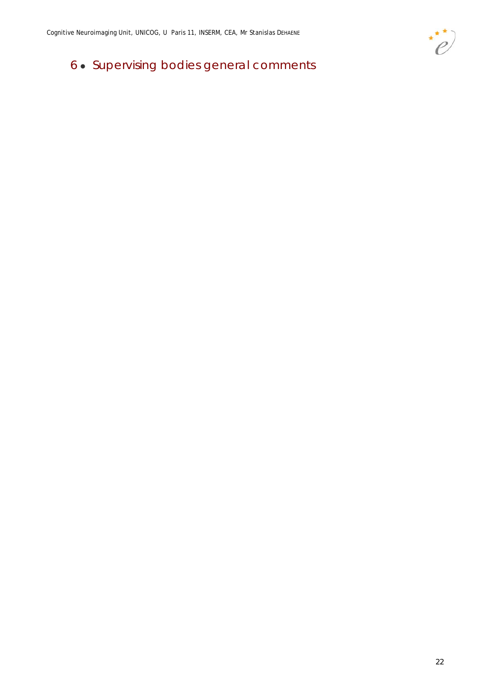## 6 Supervising bodies general comments

 $\ddot{\cdot}$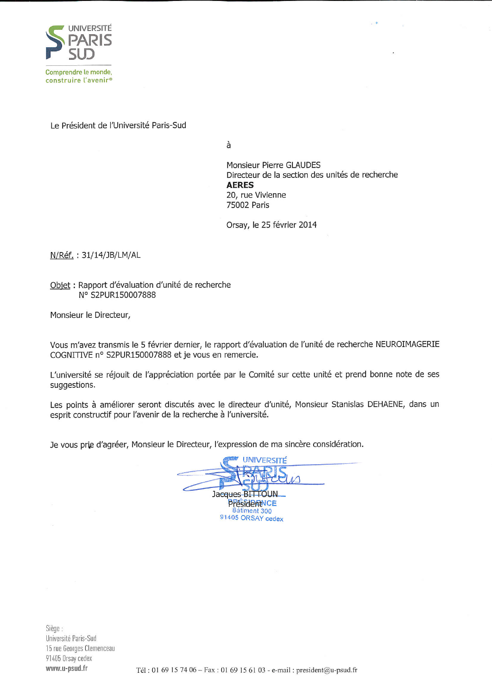

Le Président de l'Université Paris-Sud

à

Monsieur Pierre GLAUDES Directeur de la section des unités de recherche **AERES** 20, rue Vivienne 75002 Paris

Orsay, le 25 février 2014

N/Réf.: 31/14/JB/LM/AL

Objet : Rapport d'évaluation d'unité de recherche N° S2PUR150007888

Monsieur le Directeur,

Vous m'avez transmis le 5 février dernier, le rapport d'évaluation de l'unité de recherche NEUROIMAGERIE COGNITIVE nº S2PUR150007888 et je vous en remercie.

L'université se réjouit de l'appréciation portée par le Comité sur cette unité et prend bonne note de ses suggestions.

Les points à améliorer seront discutés avec le directeur d'unité, Monsieur Stanislas DEHAENE, dans un esprit constructif pour l'avenir de la recherche à l'université.

Je vous prie d'agréer, Monsieur le Directeur, l'expression de ma sincère considération.



Siège : Université Paris-Sud 15 rue Georges Clemenceau 91405 Orsay cedex www.u-psud.fr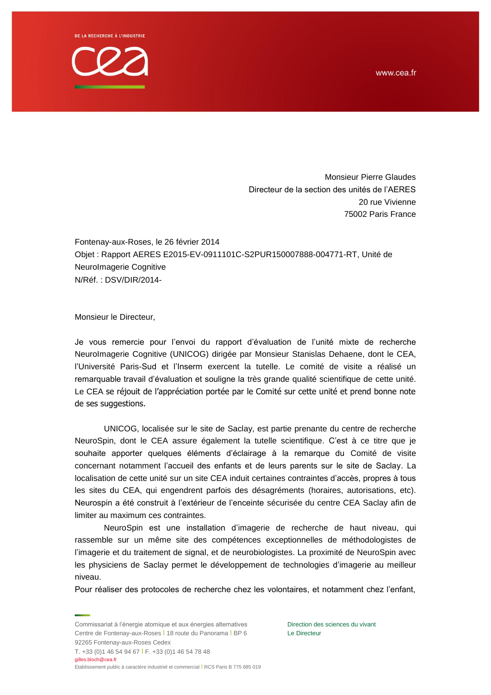www.cea.fr

**DE LA RECHERCHE À L'INDUSTRIE** 



Monsieur Pierre Glaudes Directeur de la section des unités de l'AERES 20 rue Vivienne 75002 Paris France

Fontenay-aux-Roses, le 26 février 2014 Objet : Rapport AERES E2015-EV-0911101C-S2PUR150007888-004771-RT, Unité de NeuroImagerie Cognitive N/Réf. : DSV/DIR/2014-

Monsieur le Directeur,

Je vous remercie pour l'envoi du rapport d'évaluation de l'unité mixte de recherche NeuroImagerie Cognitive (UNICOG) dirigée par Monsieur Stanislas Dehaene, dont le CEA, l'Université Paris-Sud et l'Inserm exercent la tutelle. Le comité de visite a réalisé un remarquable travail d'évaluation et souligne la très grande qualité scientifique de cette unité. Le CEA se réjouit de l'appréciation portée par le Comité sur cette unité et prend bonne note de ses suggestions.

UNICOG, localisée sur le site de Saclay, est partie prenante du centre de recherche NeuroSpin, dont le CEA assure également la tutelle scientifique. C'est à ce titre que je souhaite apporter quelques éléments d'éclairage à la remarque du Comité de visite concernant notamment l'accueil des enfants et de leurs parents sur le site de Saclay. La localisation de cette unité sur un site CEA induit certaines contraintes d'accès, propres à tous les sites du CEA, qui engendrent parfois des désagréments (horaires, autorisations, etc). Neurospin a été construit à l'extérieur de l'enceinte sécurisée du centre CEA Saclay afin de limiter au maximum ces contraintes.

NeuroSpin est une installation d'imagerie de recherche de haut niveau, qui rassemble sur un même site des compétences exceptionnelles de méthodologistes de l'imagerie et du traitement de signal, et de neurobiologistes. La proximité de NeuroSpin avec les physiciens de Saclay permet le développement de technologies d'imagerie au meilleur niveau.

Pour réaliser des protocoles de recherche chez les volontaires, et notamment chez l'enfant,

Commissariat à l'énergie atomique et aux énergies alternatives Centre de Fontenay-aux-Roses l 18 route du Panorama l BP 6 92265 Fontenay-aux-Roses Cedex T. +33 (0)1 46 54 94 67 l F. +33 (0)1 46 54 78 48 gilles.bloch@cea.fr

Direction des sciences du vivant Le Directeur